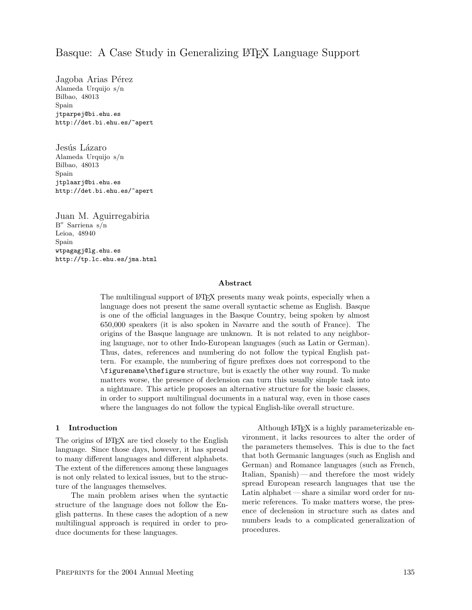# Basque: A Case Study in Generalizing LATEX Language Support

Jagoba Arias Pérez Alameda Urquijo s/n Bilbao, 48013 Spain jtparpej@bi.ehu.es http://det.bi.ehu.es/~apert

Jesús Lázaro Alameda Urquijo s/n Bilbao, 48013 Spain jtplaarj@bi.ehu.es http://det.bi.ehu.es/~apert

Juan M. Aguirregabiria B <sup>o</sup> Sarriena s/n Leioa, 48940 Spain wtpagagj@lg.ehu.es http://tp.lc.ehu.es/jma.html

#### Abstract

The multilingual support of LATEX presents many weak points, especially when a language does not present the same overall syntactic scheme as English. Basque is one of the official languages in the Basque Country, being spoken by almost 650,000 speakers (it is also spoken in Navarre and the south of France). The origins of the Basque language are unknown. It is not related to any neighboring language, nor to other Indo-European languages (such as Latin or German). Thus, dates, references and numbering do not follow the typical English pattern. For example, the numbering of figure prefixes does not correspond to the \figurename\thefigure structure, but is exactly the other way round. To make matters worse, the presence of declension can turn this usually simple task into a nightmare. This article proposes an alternative structure for the basic classes, in order to support multilingual documents in a natural way, even in those cases where the languages do not follow the typical English-like overall structure.

#### 1 Introduction

The origins of LATEX are tied closely to the English language. Since those days, however, it has spread to many different languages and different alphabets. The extent of the differences among these languages is not only related to lexical issues, but to the structure of the languages themselves.

The main problem arises when the syntactic structure of the language does not follow the English patterns. In these cases the adoption of a new multilingual approach is required in order to produce documents for these languages.

Although LATEX is a highly parameterizable environment, it lacks resources to alter the order of the parameters themselves. This is due to the fact that both Germanic languages (such as English and German) and Romance languages (such as French, Italian, Spanish) — and therefore the most widely spread European research languages that use the Latin alphabet — share a similar word order for numeric references. To make matters worse, the presence of declension in structure such as dates and numbers leads to a complicated generalization of procedures.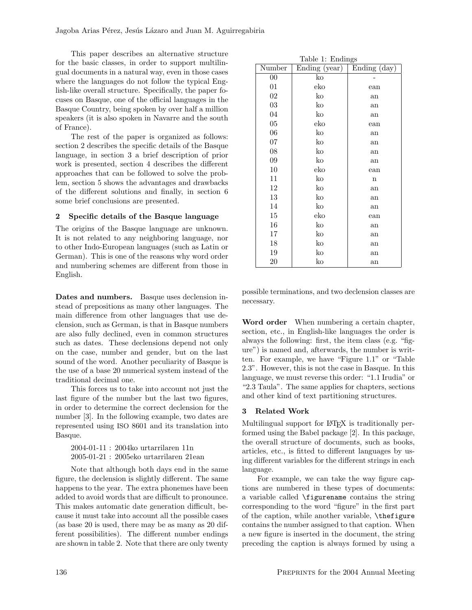This paper describes an alternative structure for the basic classes, in order to support multilingual documents in a natural way, even in those cases where the languages do not follow the typical English-like overall structure. Specifically, the paper focuses on Basque, one of the official languages in the Basque Country, being spoken by over half a million speakers (it is also spoken in Navarre and the south of France).

The rest of the paper is organized as follows: section 2 describes the specific details of the Basque language, in section 3 a brief description of prior work is presented, section 4 describes the different approaches that can be followed to solve the problem, section 5 shows the advantages and drawbacks of the different solutions and finally, in section 6 some brief conclusions are presented.

### 2 Specific details of the Basque language

The origins of the Basque language are unknown. It is not related to any neighboring language, nor to other Indo-European languages (such as Latin or German). This is one of the reasons why word order and numbering schemes are different from those in English.

Dates and numbers. Basque uses declension instead of prepositions as many other languages. The main difference from other languages that use declension, such as German, is that in Basque numbers are also fully declined, even in common structures such as dates. These declensions depend not only on the case, number and gender, but on the last sound of the word. Another peculiarity of Basque is the use of a base 20 numerical system instead of the traditional decimal one.

This forces us to take into account not just the last figure of the number but the last two figures, in order to determine the correct declension for the number [3]. In the following example, two dates are represented using ISO 8601 and its translation into Basque.

2004-01-11 : 2004ko urtarrilaren 11n 2005-01-21 : 2005eko urtarrilaren 21ean

Note that although both days end in the same figure, the declension is slightly different. The same happens to the year. The extra phonemes have been added to avoid words that are difficult to pronounce. This makes automatic date generation difficult, because it must take into account all the possible cases (as base 20 is used, there may be as many as 20 different possibilities). The different number endings are shown in table 2. Note that there are only twenty

| Table 1: Endings |                                                          |             |  |  |  |
|------------------|----------------------------------------------------------|-------------|--|--|--|
| Number           | $\overline{\text{Ending}}\text{ (day)}$<br>Ending (year) |             |  |  |  |
| $00\,$           | ko                                                       |             |  |  |  |
| $_{01}$          | eko                                                      | ean         |  |  |  |
| 02               | ko                                                       | an          |  |  |  |
| 03               | ko                                                       | an          |  |  |  |
| 04               | ko                                                       | an          |  |  |  |
| 05               | eko                                                      | ean         |  |  |  |
| 06               | ko                                                       | an          |  |  |  |
| 07               | ko                                                       | an          |  |  |  |
| 08               | ko                                                       | an          |  |  |  |
| 09               | ko                                                       | an          |  |  |  |
| 10               | eko                                                      | ean         |  |  |  |
| 11               | ko                                                       | $\mathbf n$ |  |  |  |
| 12               | ko                                                       | an          |  |  |  |
| 13               | ko                                                       | an          |  |  |  |
| 14               | ko                                                       | an          |  |  |  |
| 15               | eko                                                      | ean         |  |  |  |
| 16               | ko                                                       | an          |  |  |  |
| 17               | ko                                                       | an          |  |  |  |
| 18               | ko                                                       | an          |  |  |  |
| 19               | ko                                                       | an          |  |  |  |
| 20               | ko                                                       | an          |  |  |  |

possible terminations, and two declension classes are necessary.

Word order When numbering a certain chapter, section, etc., in English-like languages the order is always the following: first, the item class (e.g. "figure") is named and, afterwards, the number is written. For example, we have "Figure 1.1" or "Table 2.3". However, this is not the case in Basque. In this language, we must reverse this order: "1.1 Irudia" or "2.3 Taula". The same applies for chapters, sections and other kind of text partitioning structures.

## 3 Related Work

Multilingual support for LATEX is traditionally performed using the Babel package [2]. In this package, the overall structure of documents, such as books, articles, etc., is fitted to different languages by using different variables for the different strings in each language.

For example, we can take the way figure captions are numbered in these types of documents: a variable called \figurename contains the string corresponding to the word "figure" in the first part of the caption, while another variable, \thefigure contains the number assigned to that caption. When a new figure is inserted in the document, the string preceding the caption is always formed by using a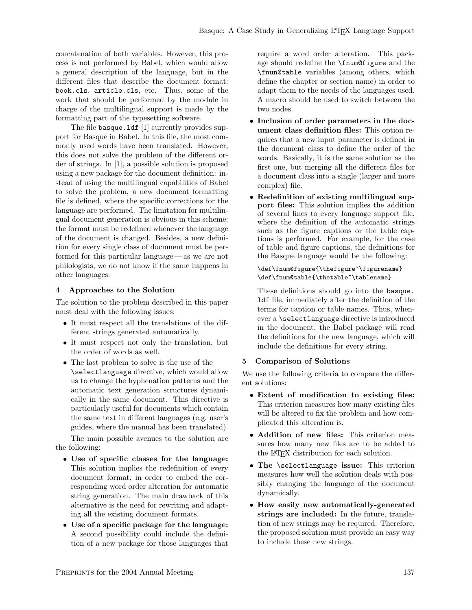concatenation of both variables. However, this process is not performed by Babel, which would allow a general description of the language, but in the different files that describe the document format: book.cls, article.cls, etc. Thus, some of the work that should be performed by the module in charge of the multilingual support is made by the formatting part of the typesetting software.

The file basque.1df [1] currently provides support for Basque in Babel. In this file, the most commonly used words have been translated. However, this does not solve the problem of the different order of strings. In [1], a possible solution is proposed using a new package for the document definition: instead of using the multilingual capabilities of Babel to solve the problem, a new document formatting file is defined, where the specific corrections for the language are performed. The limitation for multilingual document generation is obvious in this scheme: the format must be redefined whenever the language of the document is changed. Besides, a new definition for every single class of document must be performed for this particular language — as we are not philologists, we do not know if the same happens in other languages.

### 4 Approaches to the Solution

The solution to the problem described in this paper must deal with the following issues:

- It must respect all the translations of the different strings generated automatically.
- It must respect not only the translation, but the order of words as well.
- The last problem to solve is the use of the \selectlanguage directive, which would allow us to change the hyphenation patterns and the automatic text generation structures dynamically in the same document. This directive is particularly useful for documents which contain the same text in different languages (e.g. user's guides, where the manual has been translated).

The main possible avenues to the solution are the following:

- Use of specific classes for the language: This solution implies the redefinition of every document format, in order to embed the corresponding word order alteration for automatic string generation. The main drawback of this alternative is the need for rewriting and adapting all the existing document formats.
- Use of a specific package for the language: A second possibility could include the definition of a new package for those languages that

require a word order alteration. This package should redefine the \fnum@figure and the \fnun@table variables (among others, which define the chapter or section name) in order to adapt them to the needs of the languages used. A macro should be used to switch between the two nodes.

- Inclusion of order parameters in the document class definition files: This option requires that a new input parameter is defined in the document class to define the order of the words. Basically, it is the same solution as the first one, but merging all the different files for a document class into a single (larger and more complex) file.
- Redefinition of existing multilingual support files: This solution implies the addition of several lines to every language support file, where the definition of the automatic strings such as the figure captions or the table captions is performed. For example, for the case of table and figure captions, the definitions for the Basque language would be the following:

```
\def\fnum@figure{\thefigure~\figurename}
\def\fnum@table{\thetable~\tablename}
```
These definitions should go into the basque. ldf file, immediately after the definition of the terms for caption or table names. Thus, whenever a \selectlanguage directive is introduced in the document, the Babel package will read the definitions for the new language, which will include the definitions for every string.

#### 5 Comparison of Solutions

We use the following criteria to compare the different solutions:

- Extent of modification to existing files: This criterion measures how many existing files will be altered to fix the problem and how complicated this alteration is.
- Addition of new files: This criterion measures how many new files are to be added to the LATEX distribution for each solution.
- The \selectlanguage issue: This criterion measures how well the solution deals with possibly changing the language of the document dynamically.
- How easily new automatically-generated strings are included: In the future, translation of new strings may be required. Therefore, the proposed solution must provide an easy way to include these new strings.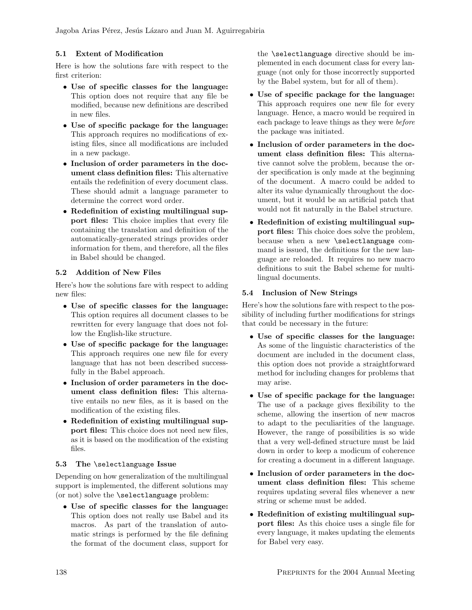Jagoba Arias Pérez, Jesús Lázaro and Juan M. Aguirregabiria

### 5.1 Extent of Modification

Here is how the solutions fare with respect to the first criterion:

- Use of specific classes for the language: This option does not require that any file be modified, because new definitions are described in new files.
- Use of specific package for the language: This approach requires no modifications of existing files, since all modifications are included in a new package.
- Inclusion of order parameters in the document class definition files: This alternative entails the redefinition of every document class. These should admit a language parameter to determine the correct word order.
- Redefinition of existing multilingual support files: This choice implies that every file containing the translation and definition of the automatically-generated strings provides order information for them, and therefore, all the files in Babel should be changed.

### 5.2 Addition of New Files

Here's how the solutions fare with respect to adding new files:

- Use of specific classes for the language: This option requires all document classes to be rewritten for every language that does not follow the English-like structure.
- Use of specific package for the language: This approach requires one new file for every language that has not been described successfully in the Babel approach.
- Inclusion of order parameters in the document class definition files: This alternative entails no new files, as it is based on the modification of the existing files.
- Redefinition of existing multilingual support files: This choice does not need new files, as it is based on the modification of the existing files.

#### 5.3 The \selectlanguage Issue

Depending on how generalization of the multilingual support is implemented, the different solutions may (or not) solve the \selectlanguage problem:

• Use of specific classes for the language: This option does not really use Babel and its macros. As part of the translation of automatic strings is performed by the file defining the format of the document class, support for the \selectlanguage directive should be implemented in each document class for every language (not only for those incorrectly supported by the Babel system, but for all of them).

- Use of specific package for the language: This approach requires one new file for every language. Hence, a macro would be required in each package to leave things as they were before the package was initiated.
- Inclusion of order parameters in the document class definition files: This alternative cannot solve the problem, because the order specification is only made at the beginning of the document. A macro could be added to alter its value dynamically throughout the document, but it would be an artificial patch that would not fit naturally in the Babel structure.
- Redefinition of existing multilingual support files: This choice does solve the problem, because when a new \selectlanguage command is issued, the definitions for the new language are reloaded. It requires no new macro definitions to suit the Babel scheme for multilingual documents.

#### 5.4 Inclusion of New Strings

Here's how the solutions fare with respect to the possibility of including further modifications for strings that could be necessary in the future:

- Use of specific classes for the language: As some of the linguistic characteristics of the document are included in the document class, this option does not provide a straightforward method for including changes for problems that may arise.
- Use of specific package for the language: The use of a package gives flexibility to the scheme, allowing the insertion of new macros to adapt to the peculiarities of the language. However, the range of possibilities is so wide that a very well-defined structure must be laid down in order to keep a modicum of coherence for creating a document in a different language.
- Inclusion of order parameters in the document class definition files: This scheme requires updating several files whenever a new string or scheme must be added.
- Redefinition of existing multilingual support files: As this choice uses a single file for every language, it makes updating the elements for Babel very easy.